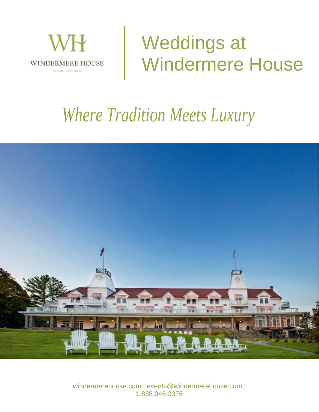

# Weddings at Windermere House

# *Where Tradition Meets Luxury*



windermerehouse.com | [events@windermerehouse.com |](mailto:events@windermerehouse.com) 1.888.946.3376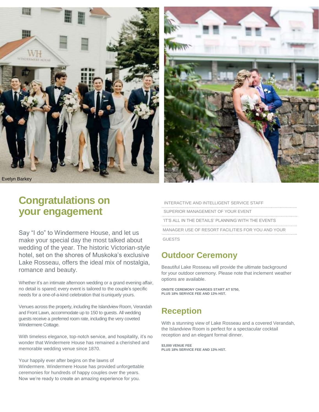



# **Congratulations on your engagement**

Say "I do" to Windermere House, and let us make your special day the most talked about wedding of the year. The historic Victorian-style hotel, set on the shores of Muskoka's exclusive Lake Rosseau, offers the ideal mix of nostalgia, romance and beauty.

Whether it's an intimate afternoon wedding or a grand evening affair, no detail is spared; every event is tailored to the couple's specific needs for a one-of-a-kind celebration that isuniquely yours.

Venues across the property, including the Islandview Room, Verandah and Front Lawn, accommodate up to 150 to guests. All wedding guests receive a preferred room rate, including the very coveted Windermere Cottage.

With timeless elegance, top-notch service, and hospitality, it's no wonder that Windermere House has remained a cherished and memorable wedding venue since 1870.

Your happily ever after begins on the lawns of Windermere. Windermere House has provided unforgettable ceremonies for hundreds of happy couples over the years. Now we're ready to create an amazing experience for you.

| INTERACTIVE AND INTELLIGENT SERVICE STAFF          |
|----------------------------------------------------|
| SUPERIOR MANAGEMENT OF YOUR EVENT                  |
| 'IT'S ALL IN THE DETAILS' PLANNING WITH THE EVENTS |
| MANAGER USE OF RESORT FACILITIES FOR YOU AND YOUR  |
| GUESTS                                             |

# **Outdoor Ceremony**

Beautiful Lake Rosseau will provide the ultimate background for your outdoor ceremony. Please note that inclement weather options are available.

**ONSITE CEREMONY CHARGES START AT \$750, PLUS 18% SERVICE FEE AND 13% HST.**

# **Reception**

With a stunning view of Lake Rosseau and a covered Verandah, the Islandview Room is perfect for a spectacular cocktail reception and an elegant formal dinner.

**\$3,000 VENUE FEE PLUS 18% SERVICE FEE AND 13% HST.**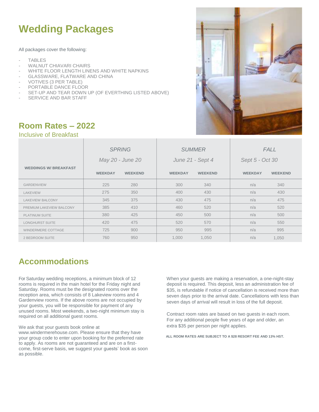# **Wedding Packages**

All packages cover the following:

- **TABLES**
- WALNUT CHIAVARI CHAIRS
- WHITE FLOOR LENGTH LINENS AND WHITE NAPKINS
- GLASSWARE, FLATWARE AND CHINA
- VOTIVES (3 PER TABLE)
- PORTABLE DANCE FLOOR
- SET-UP AND TEAR DOWN UP (OF EVERTHING LISTED ABOVE)
- SERVICE AND BAR STAFF



# **Room Rates – 2022**

# Inclusive of Breakfast

|                              | <b>SPRING</b>    |                | <b>SUMMER</b>    |                | <b>FALL</b>     |                |
|------------------------------|------------------|----------------|------------------|----------------|-----------------|----------------|
|                              | May 20 - June 20 |                | June 21 - Sept 4 |                | Sept 5 - Oct 30 |                |
| <b>WEDDINGS W/ BREAKFAST</b> | <b>WEEKDAY</b>   | <b>WEEKEND</b> | <b>WEEKDAY</b>   | <b>WEEKEND</b> | <b>WEEKDAY</b>  | <b>WEEKEND</b> |
| <b>GARDENVIEW</b>            | 225              | 280            | 300              | 340            | n/a             | 340            |
| LAKEVIEW                     | 275              | 350            | 400              | 430            | n/a             | 430            |
| LAKEVIEW BALCONY             | 345              | 375            | 430              | 475            | n/a             | 475            |
| PREMIUM LAKEVIEW BALCONY     | 385              | 410            | 460              | 520            | n/a             | 520            |
| <b>PLATINUM SUITE</b>        | 380              | 425            | 450              | 500            | n/a             | 500            |
| <b>LONGHURST SUITE</b>       | 420              | 475            | 520              | 570            | n/a             | 550            |
| WINDERMERE COTTAGE           | 725              | 900            | 950              | 995            | n/a             | 995            |
| 2 BEDROOM SUITE              | 760              | 950            | 1,000            | 1,050          | n/a             | 1,050          |

# **Accommodations**

For Saturday wedding receptions, a minimum block of 12 rooms is required in the main hotel for the Friday night and Saturday. Rooms must be the designated rooms over the reception area, which consists of 8 Lakeview rooms and 4 Gardenview rooms. If the above rooms are not occupied by your guests, you will be responsible for payment of any unused rooms. Most weekends, a two-night minimum stay is required on all additional guest rooms.

We ask that your guests book online at www.windermerehouse.com. Please ensure that they have your group code to enter upon booking for the preferred rate to apply. As rooms are not guaranteed and are on a firstcome, first-serve basis, we suggest your guests' book as soon as possible.

When your guests are making a reservation, a one-night-stay deposit is required. This deposit, less an administration fee of \$35, is refundable if notice of cancellation is received more than seven days prior to the arrival date. Cancellations with less than seven days of arrival will result in loss of the full deposit.

 Contract room rates are based on two guests in each room. For any additional people five years of age and older, an extra \$35 per person per night applies.

 **ALL ROOM RATES ARE SUBJECT TO A \$28 RESORT FEE AND 13% HST.**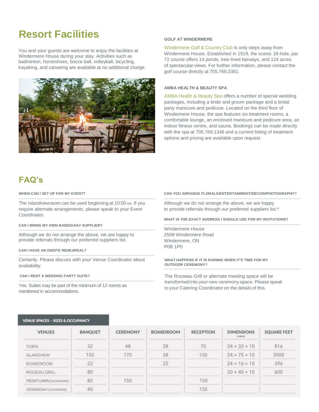# **Resort Facilities**

You and your guests are welcome to enjoy the facilities at Windermere House during your stay. Activities such as badminton, horseshoes, bocce ball, volleyball, bicycling, kayaking, and canoeing are available at no additional charge.



#### **GOLF AT WINDERMERE**

[Windermere Golf & Country Club i](http://www.windermeregolf.ca/)s only steps away from Windermere House. Established in 1919, the scenic 18-hole, par 72 course offers 14 ponds, tree-lined fairways, and 124 acres of spectacular views. For further information, please contact the golf course directly at 705.769.3381.

#### **AMBA HEALTH & BEAUTY SPA**

[AMBA Health & Beauty Spa o](http://www.ambaspa.com/)ffers a number of special wedding packages, including a bride and groom package and a bridal party manicure and pedicure. Located on the third floor of Windermere House, the spa features six treatment rooms, a comfortable lounge, an enclosed manicure and pedicure area, an indoor fitness centre, and sauna. Bookings can be made directly with the spa at 705.769.1346 and a current listing of treatment options and pricing are available upon request.

# **FAQ's**

#### **WHEN CAN I SET UP FOR MY EVENT?**

The Islandview room can be used beginning at 10:00 AM. If you require alternate arrangements, please speak to your Event **Coordinator** 

#### **CAN I BRING MY OWN BAND/DJ/AV SUPPLIER?**

Although we do not arrange the above, we are happy to provide referrals through our preferred suppliers list.

#### **CAN I HAVE AN ONSITE REHEARSAL?**

Certainly. Please discuss with your Venue Coordinator about availability.

#### **CAN I RENT A WEDDING PARTY SUITE?**

Yes. Suites may be part of the minimum of 12 rooms as mentioned in accommodations.

#### **CAN YOU ARRANGE FLORALS/ENTERTAINMENT/DECOR/PHOTOGRAPHY?**

Although we do not arrange the above, we are happy to provide referrals through our preferred suppliers list.\*

**WHAT IS THE EXACT ADDRESS I SHOULD USE FOR MY INVITATIONS?**

Windermere House 2508 Windermere Road Windermere, ON P0B 1P0

**WHAT HAPPENS IF IT IS RAINING WHEN IT'S TIME FOR MY OUTDOOR CEREMONY?**

The Rosseau Grill or alternate meeting space will be transformed into your new ceremony space. Please speak to your Catering Coordinator on the details of this.

| <b>VENUES</b>         | <b>BANQUET</b> | <b>CEREMONY</b> | <b>BOARDROOM</b> | <b>RECEPTION</b> | <b>DIMENSIONS</b><br><b>LyWell</b> | <b>SQUARE FEET</b> |
|-----------------------|----------------|-----------------|------------------|------------------|------------------------------------|--------------------|
| <b>TOBIN</b>          | 32             | 48              | 28               | 70               | $24 \times 32 \times 10$           | 816                |
| <b>ISLANDVIEW</b>     | 150            | 170             | 38               | 150              | $24 \times 75 \times 10$           | 2000               |
| <b>BOARDROOM</b>      | 22             |                 | 22               |                  | $24 \times 16 \times 10$           | 396                |
| ROSSEAU GRILL         | 80             |                 |                  |                  | $20 \times 40 \times 10$           | 600                |
| FRONT LAWN (outpoors) | 80             | 150             |                  | 150              |                                    |                    |
| VERANDAH (OUTDOORS)   | 40             |                 |                  | 150              |                                    |                    |

#### **VENUE SPACES - SIZES & OCCUPANCY**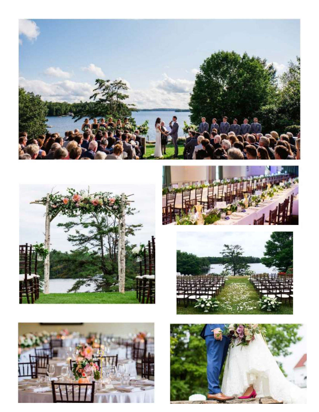









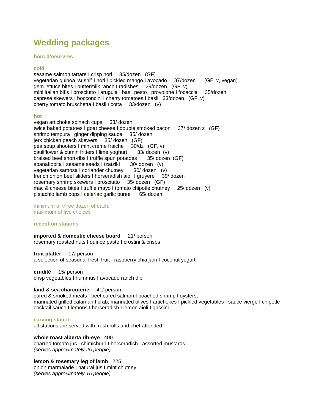# **Wedding packages**

**hors d'oeurvres**

## **cold**

sesame salmon tartare I crisp nori 35/dozen (GF) vegetarian quinoa "sushi" I nori I pickled mango I avocado 37/dozen (GF, v, vegan) gem lettuce bites I buttermilk ranch I radishes 29/dozen (GF, v) mini italian blt's I prosciutto I arugula I basil pesto I provolone I focaccia 35/dozen caprese skewers I bocconcini I cherry tomatoes I basil 33/dozen (GF, v) cherry tomato bruschetta I basil ricotta 33/dozen (v)

## **hot**

vegan artichoke spinach cups 33/ dozen twice baked potatoes I goat cheese I double smoked bacon 37/ dozen z (GF) shrimp tempura I ginger dipping sauce 35/ dozen jerk chicken peach skewers 35/ dozen (GF) pea soup shooters I mint crème fraiche 30/dz (GF, v) cauliflower & cumin fritters I lime yoghurt 33/ dozen (v) braised beef short-ribs I truffle spun potatoes 35/ dozen (GF) spanakopita I sesame seeds I tzatziki 30/ dozen (v) vegetarian samosa I coriander chutney 30/ dozen (v) french onion beef sliders I horseradish aioli I gruyere 39/ dozen rosemary shrimp skewers I prosciutto 35/ dozen (GF) mac & cheese bites I truffle mayo I tomato chipotle chutney 25/ dozen (v) pistachio lamb pops I celeriac garlic puree 65/ dozen

minimum of three dozen of each. maximum of five choices

## **reception stations**

**imported & domestic cheese board** 21/ person rosemary roasted nuts I quince paste I crostini & crisps

## **fruit platter** 17/ person

a selection of seasonal fresh fruit I raspberry chia jam I coconut yogurt

**crudité** 15/ person crisp vegetables I hummus I avocado ranch dip

## **land & sea charcuterie** 41/ person

cured & smoked meats I beet cured salmon I poached shrimp I oysters, marinated grilled calamari I crab, marinated olives I artichokes I pickled vegetables I sauce vierge I chipotle cocktail sauce I lemons I horseradish I lemon aioli I grissini

#### **carving station**

all stations are served with fresh rolls and chef attended

**whole roast alberta rib-eye** 400 charred tomato jus I chimichurri I horseradish I assorted mustards *(serves approximately 25 people)*

**lemon & rosemary leg of lamb** 225 onion marmalade I natural jus I mint chutney *(serves approximately 15 people)*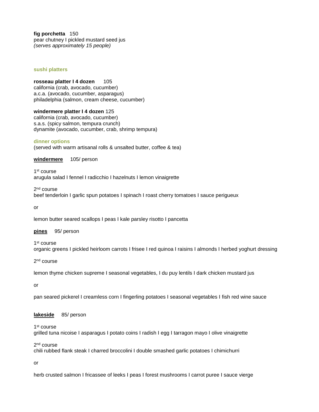**fig porchetta** 150 pear chutney I pickled mustard seed jus *(serves approximately 15 people)*

## **sushi platters**

**rosseau platter I 4 dozen** 105 california (crab, avocado, cucumber) a.c.a. (avocado, cucumber, asparagus) philadelphia (salmon, cream cheese, cucumber)

## **windermere platter I 4 dozen** 125

california (crab, avocado, cucumber) s.a.s. (spicy salmon, tempura crunch) dynamite (avocado, cucumber, crab, shrimp tempura)

#### **dinner options**

(served with warm artisanal rolls & unsalted butter, coffee & tea)

**windermere** 105/ person

1 st course arugula salad I fennel I radicchio I hazelnuts I lemon vinaigrette

2<sup>nd</sup> course beef tenderloin I garlic spun potatoes I spinach I roast cherry tomatoes I sauce perigueux

or

lemon butter seared scallops I peas I kale parsley risotto I pancetta

**pines** 95/ person

1st course organic greens I pickled heirloom carrots I frisee I red quinoa I raisins I almonds I herbed yoghurt dressing

2<sup>nd</sup> course

lemon thyme chicken supreme I seasonal vegetables, I du puy lentils I dark chicken mustard jus

or

pan seared pickerel I creamless corn I fingerling potatoes I seasonal vegetables I fish red wine sauce

## **lakeside** 85/ person

1 st course

grilled tuna nicoise I asparagus I potato coins I radish I egg I tarragon mayo I olive vinaigrette

2<sup>nd</sup> course

chili rubbed flank steak I charred broccolini I double smashed garlic potatoes I chimichurri

or

herb crusted salmon I fricassee of leeks I peas I forest mushrooms I carrot puree I sauce vierge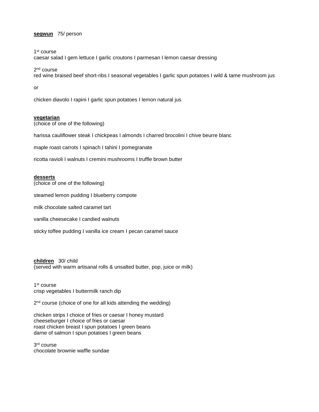#### **segwun** 75/ person

1 st course caesar salad I gem lettuce I garlic croutons I parmesan I lemon caesar dressing

2<sup>nd</sup> course

red wine braised beef short-ribs I seasonal vegetables I garlic spun potatoes I wild & tame mushroom jus

or

chicken diavolo I rapini I garlic spun potatoes I lemon natural jus

#### **vegetarian**

(choice of one of the following)

harissa cauliflower steak I chickpeas I almonds I charred brocolini I chive beurre blanc

maple roast carrots I spinach I tahini I pomegranate

ricotta ravioli I walnuts I cremini mushrooms I truffle brown butter

#### **desserts**

(choice of one of the following)

steamed lemon pudding I blueberry compote

milk chocolate salted caramel tart

vanilla cheesecake I candied walnuts

sticky toffee pudding I vanilla ice cream I pecan caramel sauce

**children** 30/ child (served with warm artisanal rolls & unsalted butter, pop, juice or milk)

1 st course crisp vegetables I buttermilk ranch dip

2<sup>nd</sup> course (choice of one for all kids attending the wedding)

chicken strips I choice of fries or caesar I honey mustard cheeseburger I choice of fries or caesar roast chicken breast I spun potatoes I green beans darne of salmon I spun potatoes I green beans

3 rd course chocolate brownie waffle sundae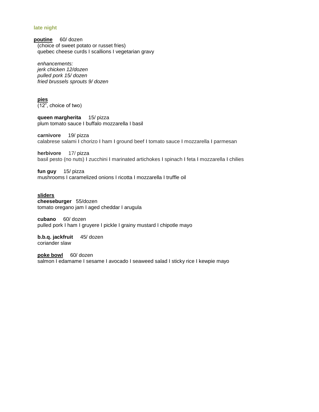#### **late night**

**poutine** 60/ dozen (choice of sweet potato or russet fries) quebec cheese curds I scallions I vegetarian gravy

*enhancements: jerk chicken 12/dozen pulled pork 15/ dozen fried brussels sprouts 9/ dozen*

**pies**   $\overline{(12",}$  choice of two)

**queen margherita** 15/ pizza plum tomato sauce I buffalo mozzarella I basil

**carnivore** 19/ pizza calabrese salami I chorizo I ham I ground beef I tomato sauce I mozzarella I parmesan

**herbivore** 17/ pizza basil pesto (no nuts) I zucchini I marinated artichokes I spinach I feta I mozzarella I chilies

**fun guy** 15/ pizza mushrooms I caramelized onions I ricotta I mozzarella I truffle oil

# **sliders**

**cheeseburger** 55/dozen tomato oregano jam I aged cheddar I arugula

**cubano** 60/ dozen pulled pork I ham I gruyere I pickle I grainy mustard I chipotle mayo

**b.b.q. jackfruit** 45/ dozen coriander slaw

**poke bowl** 60/ dozen salmon I edamame I sesame I avocado I seaweed salad I sticky rice I kewpie mayo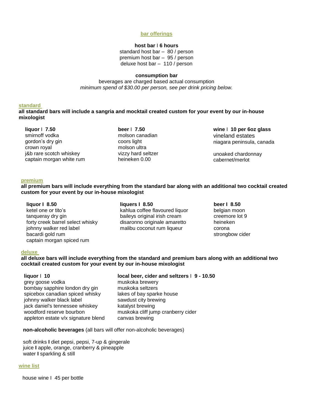#### **bar offerings**

## **host bar** I **6 hours**

standard host bar – 80 / person premium host bar – 95 / person deluxe host bar – 110 / person

#### **consumption bar**

beverages are charged based actual consumption *minimum spend of \$30.00 per person, see per drink pricing below.*

#### **standard**

**all standard bars will include a sangria and mocktail created custom for your event by our in-house mixologist** 

**liquor** I **7.50** smirnoff vodka gordon's dry gin crown royal j&b rare scotch whiskey captain morgan white rum

**beer** I **7.50** molson canadian coors light molson ultra vizzy hard seltzer heineken 0.00

**wine** I **10 per 6oz glass**  vineland estates niagara peninsula, canada

unoaked chardonnay cabernet/merlot

## **premium**

**all premium bars will include everything from the standard bar along with an additional two cocktail created custom for your event by our in-house mixologist** 

#### **liquor I 8.50**

ketel one or tito's tanqueray dry gin forty creek barrel select whisky johnny walker red label bacardi gold rum captain morgan spiced rum

**liquers I 8.50** kahlua coffee flavoured liquor baileys original irish cream disaronno originale amaretto malibu coconut rum liqueur

**beer I 8.50**

belgian moon creemore lot 9 heineken corona strongbow cider

#### **deluxe**

**all deluxe bars will include everything from the standard and premium bars along with an additional two cocktail created custom for your event by our in-house mixologist**

#### **liquor** I **10**

grey goose vodka bombay sapphire london dry gin spicebox canadian spiced whisky johnny walker black label jack daniel's tennessee whiskey woodford reserve bourbon appleton estate v/x signature blend

# **local beer, cider and seltzers** I **9 - 10.50**

muskoka brewery muskoka seltzers lakes of bay sparke house sawdust city brewing katalyst brewing muskoka cliff jump cranberry cider canvas brewing

 **non-alcoholic beverages** (all bars will offer non-alcoholic beverages)

 soft drinks **I** diet pepsi, pepsi, 7-up & gingerale juice **I** apple, orange, cranberry & pineapple water **I** sparkling & still

## **wine list**

house wine I 45 per bottle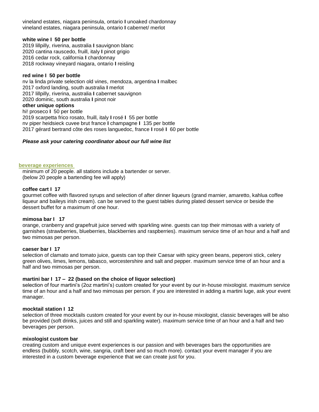vineland estates, niagara peninsula, ontario **I** unoaked chardonnay vineland estates, niagara peninsula, ontario **I** cabernet/ merlot

## **white wine I 50 per bottle**

2019 lillpilly, riverina, australia **I** sauvignon blanc 2020 cantina rauscedo, fruill, italy **I** pinot grigio 2016 cedar rock, california **I** chardonnay 2018 rockway vineyard niagara, ontario **I** reisling

#### **red wine I 50 per bottle**

nv la linda private selection old vines, mendoza, argentina **I** malbec 2017 oxford landing, south australia **I** merlot 2017 lillpilly, riverina, australia **I** cabernet sauvignon 2020 dominic, south australia **I** pinot noir **other unique options** hi! proseco **I** 50 per bottle 2019 scarpetta frico rosato, fruill, italy **I** rosé **I** 55 per bottle nv piper heidsieck cuvee brut france **I** champagne **I** 135 per bottle 2017 gérard bertrand côte des roses languedoc, france **I** rosé **I** 60 per bottle

## *Please ask your catering coordinator about our full wine list*

#### **beverage experiences**

minimum of 20 people. all stations include a bartender or server. (below 20 people a bartending fee will apply)

#### **coffee cart I 17**

gourmet coffee with flavored syrups and selection of after dinner liqueurs (grand marnier, amaretto, kahlua coffee liqueur and baileys irish cream). can be served to the guest tables during plated dessert service or beside the dessert buffet for a maximum of one hour.

#### **mimosa bar I 17**

orange, cranberry and grapefruit juice served with sparkling wine. guests can top their mimosas with a variety of garnishes (strawberries, blueberries, blackberries and raspberries). maximum service time of an hour and a half and two mimosas per person.

## **caeser bar I 17**

selection of clamato and tomato juice, guests can top their Caesar with spicy green beans, peperoni stick, celery green olives, limes, lemons, tabasco, worcestershire and salt and pepper. maximum service time of an hour and a half and two mimosas per person.

#### **martini bar I 17 – 22 (based on the choice of liquor selection)**

selection of four martini's (2oz martini's) custom created for your event by our in-house mixologist. maximum service time of an hour and a half and two mimosas per person. if you are interested in adding a martini luge, ask your event manager.

## **mocktail station I 12**

selection of three mocktails custom created for your event by our in-house mixologist, classic beverages will be also be provided (soft drinks, juices and still and sparkling water). maximum service time of an hour and a half and two beverages per person.

#### **mixologist custom bar**

creating custom and unique event experiences is our passion and with beverages bars the opportunities are endless (bubbly, scotch, wine, sangria, craft beer and so much more). contact your event manager if you are interested in a custom beverage experience that we can create just for you.